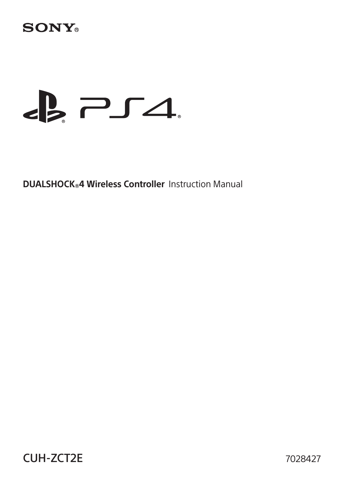# **SONY**

# $\epsilon$   $\geq$   $\epsilon$

**DUALSHOCK®4 Wireless Controller** Instruction Manual

CUH-ZCT2E 7028427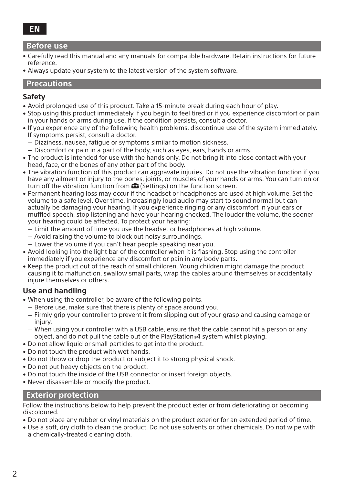#### **Before use**

- ˎ Carefully read this manual and any manuals for compatible hardware. Retain instructions for future reference.
- ˎ Always update your system to the latest version of the system software.

#### **Precautions**

#### **Safety**

- ˎ Avoid prolonged use of this product. Take a 15-minute break during each hour of play.
- ˎ Stop using this product immediately if you begin to feel tired or if you experience discomfort or pain in your hands or arms during use. If the condition persists, consult a doctor.
- ˎ If you experience any of the following health problems, discontinue use of the system immediately. If symptoms persist, consult a doctor.
	- $-$  Dizziness, nausea, fatigue or symptoms similar to motion sickness.
	- $-$  Discomfort or pain in a part of the body, such as eyes, ears, hands or arms.
- ˎ The product is intended for use with the hands only. Do not bring it into close contact with your head, face, or the bones of any other part of the body.
- . The vibration function of this product can aggravate injuries. Do not use the vibration function if you have any ailment or injury to the bones, joints, or muscles of your hands or arms. You can turn on or turn off the vibration function from  $\bigoplus$  (Settings) on the function screen.
- ˎ Permanent hearing loss may occur if the headset or headphones are used at high volume. Set the volume to a safe level. Over time, increasingly loud audio may start to sound normal but can actually be damaging your hearing. If you experience ringing or any discomfort in your ears or muffled speech, stop listening and have your hearing checked. The louder the volume, the sooner your hearing could be affected. To protect your hearing:
	- $=$  Limit the amount of time you use the headset or headphones at high volume.
	- Avoid raising the volume to block out noisy surroundings.
	- Lower the volume if you can't hear people speaking near you.
- ˎ Avoid looking into the light bar of the controller when it is flashing. Stop using the controller immediately if you experience any discomfort or pain in any body parts.
- ˎ Keep the product out of the reach of small children. Young children might damage the product causing it to malfunction, swallow small parts, wrap the cables around themselves or accidentally injure themselves or others.

#### **Use and handling**

- ˎ When using the controller, be aware of the following points.
	- Before use, make sure that there is plenty of space around you.
	- Firmly grip your controller to prevent it from slipping out of your grasp and causing damage or injury.
	- $-$  When using your controller with a USB cable, ensure that the cable cannot hit a person or any object, and do not pull the cable out of the PlayStation®4 system whilst playing.
- ˎ Do not allow liquid or small particles to get into the product.
- ˎ Do not touch the product with wet hands.
- Do not throw or drop the product or subject it to strong physical shock.
- ˎ Do not put heavy objects on the product.
- Do not touch the inside of the USB connector or insert foreign objects.
- ˎ Never disassemble or modify the product.

#### **Exterior protection**

Follow the instructions below to help prevent the product exterior from deteriorating or becoming discoloured.

- ˎ Do not place any rubber or vinyl materials on the product exterior for an extended period of time.
- ˎ Use a soft, dry cloth to clean the product. Do not use solvents or other chemicals. Do not wipe with a chemically-treated cleaning cloth.

### **EN**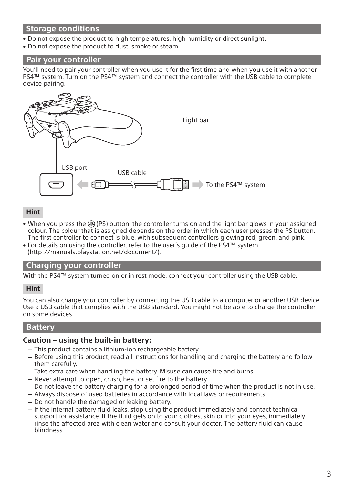# **Storage conditions**

- ˎ Do not expose the product to high temperatures, high humidity or direct sunlight.
- . Do not expose the product to dust, smoke or steam.

#### **Pair your controller**

You'll need to pair your controller when you use it for the first time and when you use it with another PS4™ system. Turn on the PS4™ system and connect the controller with the USB cable to complete device pairing.



#### **Hint**

- When you press the  $\circledast$  (PS) button, the controller turns on and the light bar glows in your assigned colour. The colour that is assigned depends on the order in which each user presses the PS button. The first controller to connect is blue, with subsequent controllers glowing red, green, and pink.
- ˎ For details on using the controller, refer to the user's guide of the PS4™ system (http://manuals.playstation.net/document/).

#### **Charging your controller**

With the PS4™ system turned on or in rest mode, connect your controller using the USB cable.

#### **Hint**

You can also charge your controller by connecting the USB cable to a computer or another USB device. Use a USB cable that complies with the USB standard. You might not be able to charge the controller on some devices.

#### **Battery**

#### **Caution – using the built-in battery:**

- This product contains a lithium-ion rechargeable battery.
- $-$  Before using this product, read all instructions for handling and charging the battery and follow them carefully.
- Take extra care when handling the battery. Misuse can cause fire and burns.
- Never attempt to open, crush, heat or set fire to the battery.
- Do not leave the battery charging for a prolonged period of time when the product is not in use.
- Always dispose of used batteries in accordance with local laws or requirements.
- Do not handle the damaged or leaking battery.
- If the internal battery fluid leaks, stop using the product immediately and contact technical support for assistance. If the fluid gets on to your clothes, skin or into your eyes, immediately rinse the affected area with clean water and consult your doctor. The battery fluid can cause blindness.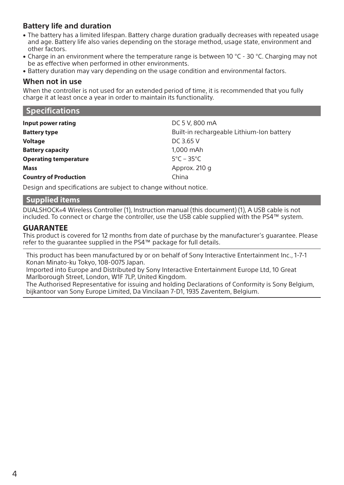# **Battery life and duration**

- The battery has a limited lifespan. Battery charge duration gradually decreases with repeated usage and age. Battery life also varies depending on the storage method, usage state, environment and other factors.
- Charge in an environment where the temperature range is between 10 °C 30 °C. Charging may not be as effective when performed in other environments.
- Battery duration may vary depending on the usage condition and environmental factors.

#### **When not in use**

When the controller is not used for an extended period of time, it is recommended that you fully charge it at least once a year in order to maintain its functionality.

| <b>Specifications</b>        |                                           |
|------------------------------|-------------------------------------------|
| Input power rating           | DC 5 V, 800 mA                            |
| <b>Battery type</b>          | Built-in rechargeable Lithium-Ion battery |
| Voltage                      | DC 3.65 V                                 |
| <b>Battery capacity</b>      | 1.000 mAh                                 |
| <b>Operating temperature</b> | $5^{\circ}$ C – 35 $^{\circ}$ C           |
| Mass                         | Approx. 210 q                             |
| <b>Country of Production</b> | China                                     |
|                              |                                           |

Design and specifications are subject to change without notice.

# **Supplied items**

DUALSHOCK®4 Wireless Controller (1), Instruction manual (this document) (1), A USB cable is not included. To connect or charge the controller, use the USB cable supplied with the PS4™ system.

#### **GUARANTEE**

This product is covered for 12 months from date of purchase by the manufacturer's guarantee. Please refer to the guarantee supplied in the PS4™ package for full details.

This product has been manufactured by or on behalf of Sony Interactive Entertainment Inc., 1-7-1 Konan Minato-ku Tokyo, 108-0075 Japan.

Imported into Europe and Distributed by Sony Interactive Entertainment Europe Ltd, 10 Great Marlborough Street, London, W1F 7LP, United Kingdom.

The Authorised Representative for issuing and holding Declarations of Conformity is Sony Belgium, bijkantoor van Sony Europe Limited, Da Vincilaan 7-D1, 1935 Zaventem, Belgium.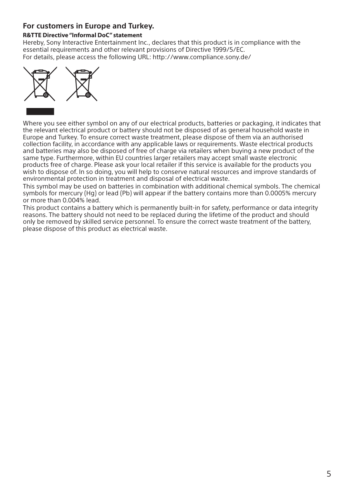# **For customers in Europe and Turkey.**

#### **R&TTE Directive "Informal DoC" statement**

Hereby, Sony Interactive Entertainment Inc., declares that this product is in compliance with the essential requirements and other relevant provisions of Directive 1999/5/EC. For details, please access the following URL: http://www.compliance.sony.de/



Where you see either symbol on any of our electrical products, batteries or packaging, it indicates that the relevant electrical product or battery should not be disposed of as general household waste in Europe and Turkey. To ensure correct waste treatment, please dispose of them via an authorised collection facility, in accordance with any applicable laws or requirements. Waste electrical products and batteries may also be disposed of free of charge via retailers when buying a new product of the same type. Furthermore, within EU countries larger retailers may accept small waste electronic products free of charge. Please ask your local retailer if this service is available for the products you wish to dispose of. In so doing, you will help to conserve natural resources and improve standards of environmental protection in treatment and disposal of electrical waste.

This symbol may be used on batteries in combination with additional chemical symbols. The chemical symbols for mercury (Hg) or lead (Pb) will appear if the battery contains more than 0.0005% mercury or more than 0.004% lead.

This product contains a battery which is permanently built-in for safety, performance or data integrity reasons. The battery should not need to be replaced during the lifetime of the product and should only be removed by skilled service personnel. To ensure the correct waste treatment of the battery, please dispose of this product as electrical waste.